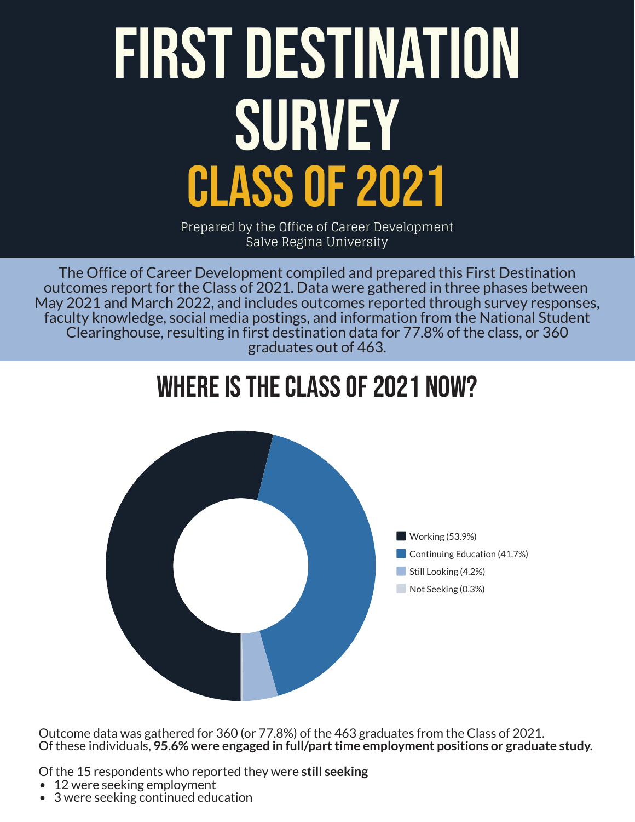# First Destination SURVEY Class of 2021

Prepared by the Office of Career Development Salve Regina University

The Office of Career Development compiled and prepared this First Destination outcomes report for the Class of 2021. Data were gathered in three phases between May 2021 and March 2022, and includes outcomes reported through survey responses, faculty knowledge, social media postings, and information from the National Student Clearinghouse, resulting in first destination data for 77.8% of the class, or 360 graduates out of 463.

## Where is the class of 2021 Now?



Outcome data was gathered for 360 (or 77.8%) of the 463 graduates from the Class of 2021. Of these individuals, **95.6% were engaged in full/part time employment positions or graduate study.**

Of the 15 respondents who reported they were **still seeking**

- 12 were seeking employment
- 3 were seeking continued education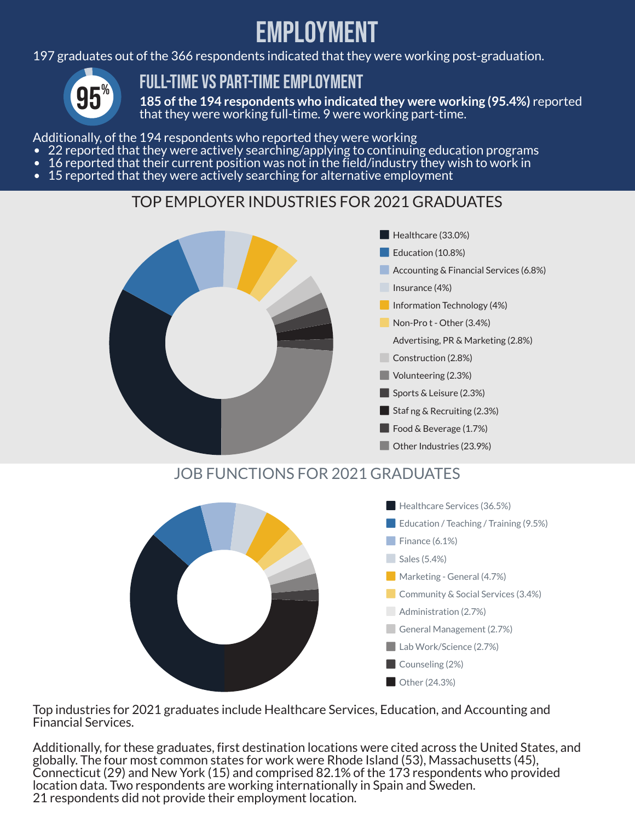## eMPLOYMENt

197 graduates out of the 366 respondents indicated that they were working post-graduation.



#### FULL-TIME VS PART-TIME EMPLOYMENT

**185 of the 194 respondents who indicated they were working (95.4%)** reported that they were working full-time. 9 were working part-time.

Additionally, of the 194 respondents who reported they were working

- 22 reported that they were actively searching/applying to continuing education programs
- 16 reported that their current position was not in the field/industry they wish to work in
- 15 reported that they were actively searching for alternative employment

#### TOP EMPLOYER INDUSTRIES FOR 2021 GRADUATES



Top industries for 2021 graduates include Healthcare Services, Education, and Accounting and Financial Services.

Additionally, for these graduates, first destination locations were cited across the United States, and globally. The four most common states for work were Rhode Island (53), Massachusetts (45), Connecticut (29) and New York (15) and comprised 82.1% of the 173 respondents who provided location data. Two respondents are working internationally in Spain and Sweden. 21 respondents did not provide their employment location.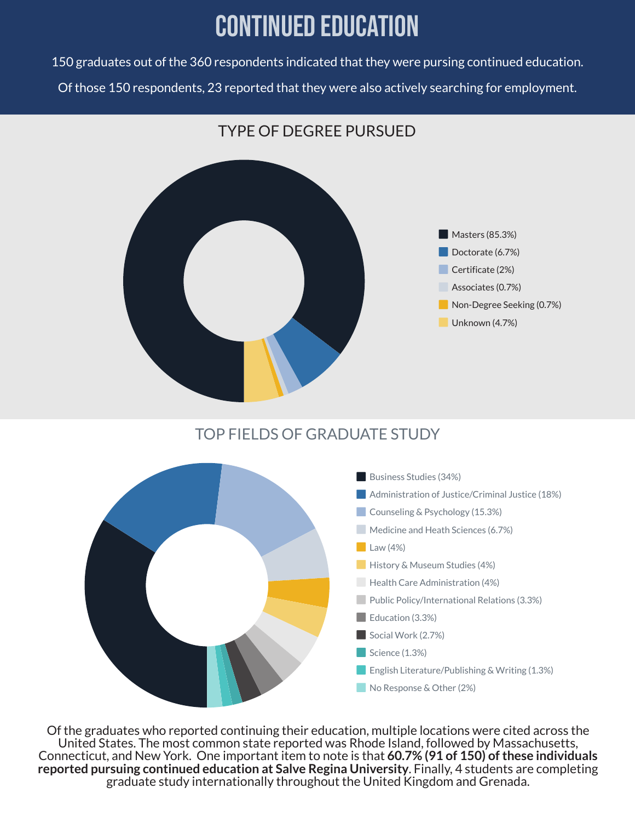## Continued Education

150 graduates out of the 360 respondents indicated that they were pursing continued education. Of those 150 respondents, 23 reported that they were also actively searching for employment.



#### TOP FIELDS OF GRADUATE STUDY



Of the graduates who reported continuing their education, multiple locations were cited across the United States. The most common state reported was Rhode Island, followed by Massachusetts, Connecticut, and New York. One important item to note is that **60.7% (91 of 150) of these individuals reported pursuing continued education at Salve Regina University**. Finally, 4 students are completing graduate study internationally throughout the United Kingdom and Grenada.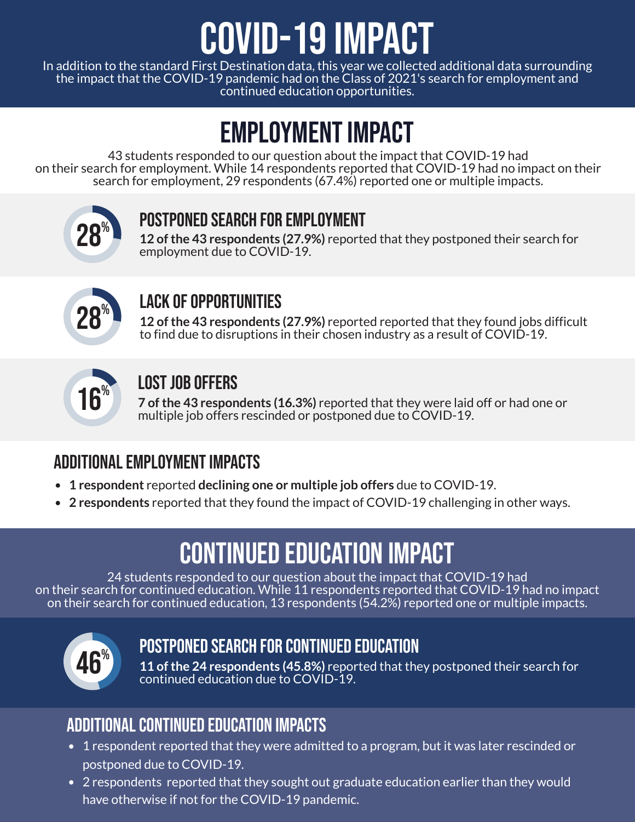## COVID-19 Impact

In addition to the standard First Destination data, this year we collected additional data surrounding the impact that the COVID-19 pandemic had on the Class of 2021's search for employment and continued education opportunities.

## Employment Impact

43 students responded to our question about the impact that COVID-19 had on their search for employment. While 14 respondents reported that COVID-19 had no impact on their search for employment, 29 respondents (67.4%) reported one or multiple impacts.



#### POSTPONED SEARCH FOR EMPLOYMENT

**12 of the 43 respondents (27.9%)** reported that they postponed their search for employment due to COVID-19.



#### LACK OF OPPORTUNITIES

**12 of the 43 respondents (27.9%)** reported reported that they found jobs difficult to find due to disruptions in their chosen industry as a result of COVID-19.



#### **LOST JOB OFFERS**

**7 of the 43 respondents (16.3%)** reported that they were laid off or had one or multiple job offers rescinded or postponed due to COVID-19.

#### Additional Employment Impacts

- **1 respondent** reported **declining one or multiple job offers** due to COVID-19.
- **2 respondents** reported that they found the impact of COVID-19 challenging in other ways.

## CONTINUED EDUCATION IMPACT

24 students responded to our question about the impact that COVID-19 had on their search for continued education. While 11 respondents reported that COVID-19 had no impact on their search for continued education, 13 respondents (54.2%) reported one or multiple impacts.



#### Postponed Search for Continued Education

**11 of the 24 respondents (45.8%)** reported that they postponed their search for continued education due to COVID-19.

#### Additional Continued Education Impacts

- 1 respondent reported that they were admitted to a program, but it was later rescinded or postponed due to COVID-19.
- 2 respondents reported that they sought out graduate education earlier than they would have otherwise if not for the COVID-19 pandemic.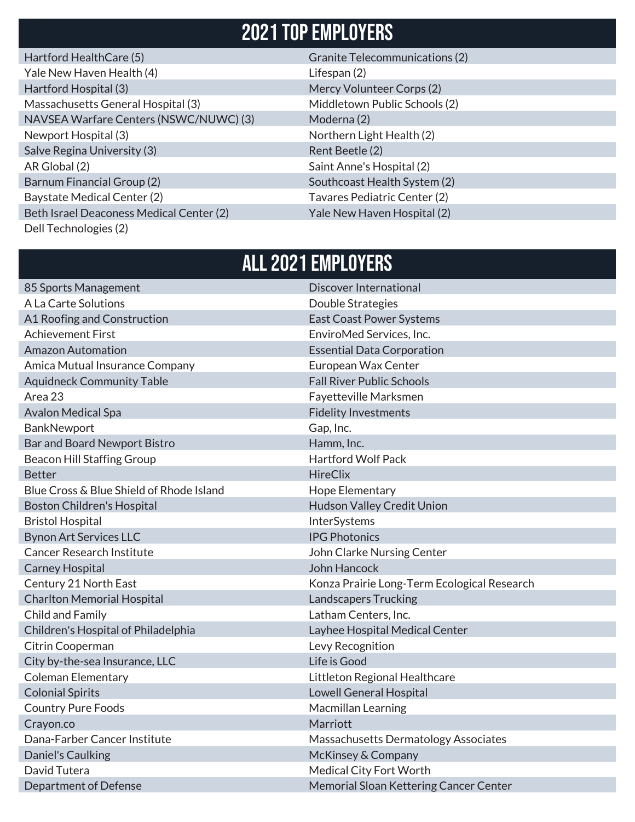#### 2021 Top Employers

| Hartford HealthCare (5)                  | <b>Granite Telecommunications (2)</b> |
|------------------------------------------|---------------------------------------|
| Yale New Haven Health (4)                | Lifespan (2)                          |
| Hartford Hospital (3)                    | Mercy Volunteer Corps (2)             |
| Massachusetts General Hospital (3)       | Middletown Public Schools (2)         |
| NAVSEA Warfare Centers (NSWC/NUWC) (3)   | Moderna (2)                           |
| Newport Hospital (3)                     | Northern Light Health (2)             |
| Salve Regina University (3)              | Rent Beetle (2)                       |
| AR Global (2)                            | Saint Anne's Hospital (2)             |
| Barnum Financial Group (2)               | Southcoast Health System (2)          |
| <b>Baystate Medical Center (2)</b>       | Tavares Pediatric Center (2)          |
| Beth Israel Deaconess Medical Center (2) | Yale New Haven Hospital (2)           |
| Dell Technologies (2)                    |                                       |

#### ALL 2021 Employers

| 85 Sports Management                     | Discover International                      |
|------------------------------------------|---------------------------------------------|
| A La Carte Solutions                     | Double Strategies                           |
| A1 Roofing and Construction              | <b>East Coast Power Systems</b>             |
| <b>Achievement First</b>                 | EnviroMed Services, Inc.                    |
| <b>Amazon Automation</b>                 | <b>Essential Data Corporation</b>           |
| Amica Mutual Insurance Company           | European Wax Center                         |
| <b>Aquidneck Community Table</b>         | <b>Fall River Public Schools</b>            |
| Area 23                                  | Fayetteville Marksmen                       |
| <b>Avalon Medical Spa</b>                | <b>Fidelity Investments</b>                 |
| BankNewport                              | Gap, Inc.                                   |
| Bar and Board Newport Bistro             | Hamm, Inc.                                  |
| <b>Beacon Hill Staffing Group</b>        | <b>Hartford Wolf Pack</b>                   |
| <b>Better</b>                            | <b>HireClix</b>                             |
| Blue Cross & Blue Shield of Rhode Island | Hope Elementary                             |
| <b>Boston Children's Hospital</b>        | Hudson Valley Credit Union                  |
| <b>Bristol Hospital</b>                  | InterSystems                                |
| <b>Bynon Art Services LLC</b>            | <b>IPG Photonics</b>                        |
| <b>Cancer Research Institute</b>         | John Clarke Nursing Center                  |
| <b>Carney Hospital</b>                   | John Hancock                                |
| Century 21 North East                    | Konza Prairie Long-Term Ecological Research |
| <b>Charlton Memorial Hospital</b>        | <b>Landscapers Trucking</b>                 |
| Child and Family                         | Latham Centers, Inc.                        |
| Children's Hospital of Philadelphia      | Layhee Hospital Medical Center              |
| Citrin Cooperman                         | Levy Recognition                            |
| City by-the-sea Insurance, LLC           | Life is Good                                |
| <b>Coleman Elementary</b>                | Littleton Regional Healthcare               |
| <b>Colonial Spirits</b>                  | <b>Lowell General Hospital</b>              |
| <b>Country Pure Foods</b>                | Macmillan Learning                          |
| Crayon.co                                | Marriott                                    |
| Dana-Farber Cancer Institute             | Massachusetts Dermatology Associates        |
| Daniel's Caulking                        | McKinsey & Company                          |
| David Tutera                             | Medical City Fort Worth                     |
| Department of Defense                    | Memorial Sloan Kettering Cancer Center      |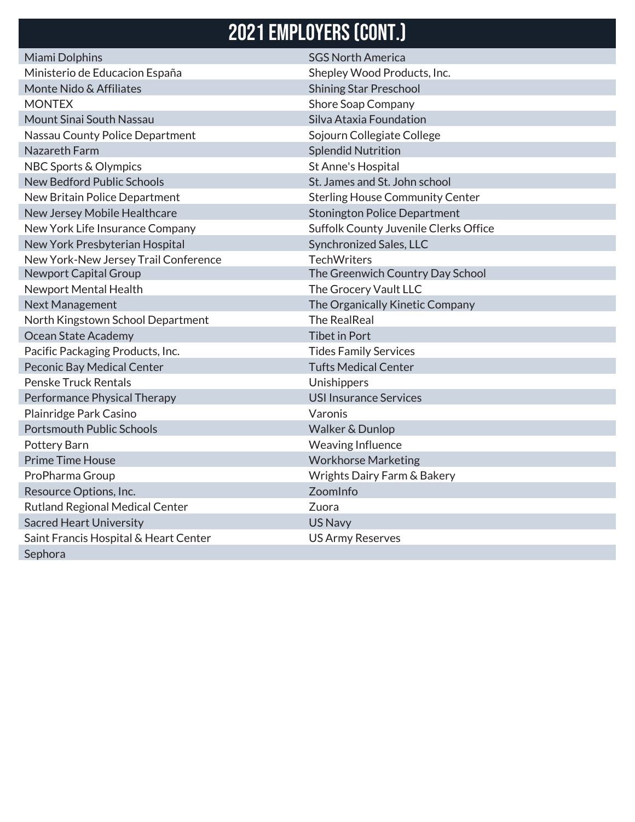### 2021 Employers (CONT.)

| Miami Dolphins                         | <b>SGS North America</b>               |
|----------------------------------------|----------------------------------------|
| Ministerio de Educacion España         | Shepley Wood Products, Inc.            |
| Monte Nido & Affiliates                | <b>Shining Star Preschool</b>          |
| <b>MONTEX</b>                          | <b>Shore Soap Company</b>              |
| Mount Sinai South Nassau               | Silva Ataxia Foundation                |
| Nassau County Police Department        | Sojourn Collegiate College             |
| Nazareth Farm                          | <b>Splendid Nutrition</b>              |
| NBC Sports & Olympics                  | St Anne's Hospital                     |
| <b>New Bedford Public Schools</b>      | St. James and St. John school          |
| New Britain Police Department          | <b>Sterling House Community Center</b> |
| New Jersey Mobile Healthcare           | <b>Stonington Police Department</b>    |
| New York Life Insurance Company        | Suffolk County Juvenile Clerks Office  |
| New York Presbyterian Hospital         | Synchronized Sales, LLC                |
| New York-New Jersey Trail Conference   | <b>TechWriters</b>                     |
| <b>Newport Capital Group</b>           | The Greenwich Country Day School       |
| Newport Mental Health                  | The Grocery Vault LLC                  |
| Next Management                        | The Organically Kinetic Company        |
| North Kingstown School Department      | <b>The RealReal</b>                    |
| Ocean State Academy                    | <b>Tibet in Port</b>                   |
| Pacific Packaging Products, Inc.       | <b>Tides Family Services</b>           |
| Peconic Bay Medical Center             | <b>Tufts Medical Center</b>            |
| <b>Penske Truck Rentals</b>            | Unishippers                            |
| Performance Physical Therapy           | <b>USI Insurance Services</b>          |
| Plainridge Park Casino                 | Varonis                                |
| <b>Portsmouth Public Schools</b>       | Walker & Dunlop                        |
| Pottery Barn                           | <b>Weaving Influence</b>               |
| <b>Prime Time House</b>                | <b>Workhorse Marketing</b>             |
| ProPharma Group                        | Wrights Dairy Farm & Bakery            |
| Resource Options, Inc.                 | ZoomInfo                               |
| <b>Rutland Regional Medical Center</b> | Zuora                                  |
| <b>Sacred Heart University</b>         | US Navy                                |
| Saint Francis Hospital & Heart Center  | <b>US Army Reserves</b>                |
| Sephora                                |                                        |